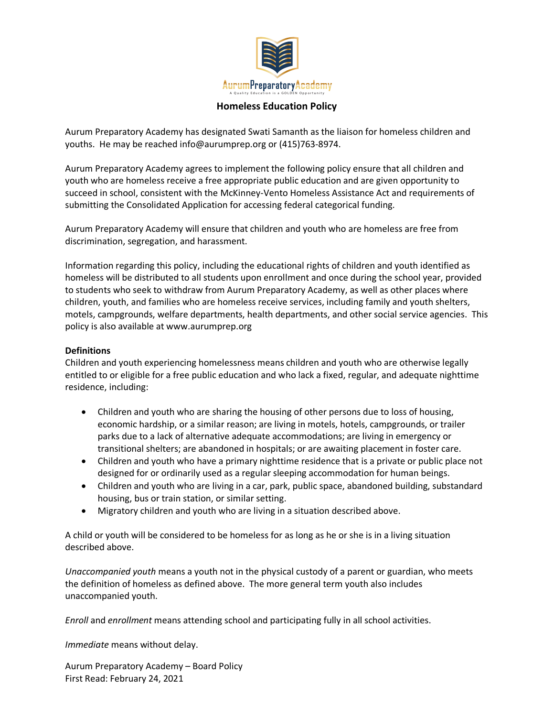

## **Homeless Education Policy**

Aurum Preparatory Academy has designated Swati Samanth as the liaison for homeless children and youths. He may be reached info@aurumprep.org or (415)763-8974.

Aurum Preparatory Academy agrees to implement the following policy ensure that all children and youth who are homeless receive a free appropriate public education and are given opportunity to succeed in school, consistent with the McKinney-Vento Homeless Assistance Act and requirements of submitting the Consolidated Application for accessing federal categorical funding.

Aurum Preparatory Academy will ensure that children and youth who are homeless are free from discrimination, segregation, and harassment.

Information regarding this policy, including the educational rights of children and youth identified as homeless will be distributed to all students upon enrollment and once during the school year, provided to students who seek to withdraw from Aurum Preparatory Academy, as well as other places where children, youth, and families who are homeless receive services, including family and youth shelters, motels, campgrounds, welfare departments, health departments, and other social service agencies. This policy is also available at www.aurumprep.org

#### **Definitions**

Children and youth experiencing homelessness means children and youth who are otherwise legally entitled to or eligible for a free public education and who lack a fixed, regular, and adequate nighttime residence, including:

- Children and youth who are sharing the housing of other persons due to loss of housing, economic hardship, or a similar reason; are living in motels, hotels, campgrounds, or trailer parks due to a lack of alternative adequate accommodations; are living in emergency or transitional shelters; are abandoned in hospitals; or are awaiting placement in foster care.
- Children and youth who have a primary nighttime residence that is a private or public place not designed for or ordinarily used as a regular sleeping accommodation for human beings.
- Children and youth who are living in a car, park, public space, abandoned building, substandard housing, bus or train station, or similar setting.
- Migratory children and youth who are living in a situation described above.

A child or youth will be considered to be homeless for as long as he or she is in a living situation described above.

*Unaccompanied youth* means a youth not in the physical custody of a parent or guardian, who meets the definition of homeless as defined above. The more general term youth also includes unaccompanied youth.

*Enroll* and *enrollment* means attending school and participating fully in all school activities.

*Immediate* means without delay.

Aurum Preparatory Academy – Board Policy First Read: February 24, 2021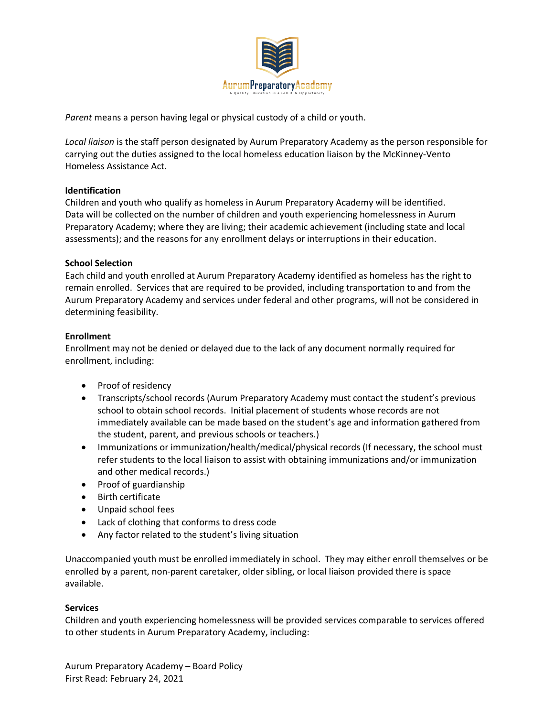

*Parent* means a person having legal or physical custody of a child or youth.

*Local liaison* is the staff person designated by Aurum Preparatory Academy as the person responsible for carrying out the duties assigned to the local homeless education liaison by the McKinney-Vento Homeless Assistance Act.

# **Identification**

Children and youth who qualify as homeless in Aurum Preparatory Academy will be identified. Data will be collected on the number of children and youth experiencing homelessness in Aurum Preparatory Academy; where they are living; their academic achievement (including state and local assessments); and the reasons for any enrollment delays or interruptions in their education.

# **School Selection**

Each child and youth enrolled at Aurum Preparatory Academy identified as homeless has the right to remain enrolled. Services that are required to be provided, including transportation to and from the Aurum Preparatory Academy and services under federal and other programs, will not be considered in determining feasibility.

# **Enrollment**

Enrollment may not be denied or delayed due to the lack of any document normally required for enrollment, including:

- Proof of residency
- Transcripts/school records (Aurum Preparatory Academy must contact the student's previous school to obtain school records. Initial placement of students whose records are not immediately available can be made based on the student's age and information gathered from the student, parent, and previous schools or teachers.)
- Immunizations or immunization/health/medical/physical records (If necessary, the school must refer students to the local liaison to assist with obtaining immunizations and/or immunization and other medical records.)
- Proof of guardianship
- Birth certificate
- Unpaid school fees
- Lack of clothing that conforms to dress code
- Any factor related to the student's living situation

Unaccompanied youth must be enrolled immediately in school. They may either enroll themselves or be enrolled by a parent, non-parent caretaker, older sibling, or local liaison provided there is space available.

## **Services**

Children and youth experiencing homelessness will be provided services comparable to services offered to other students in Aurum Preparatory Academy, including: